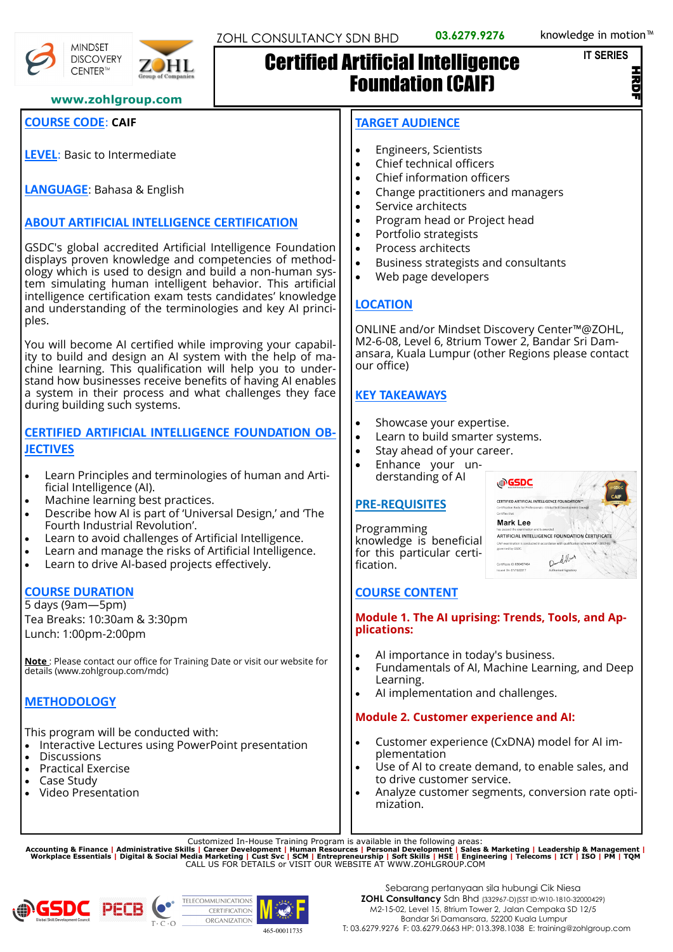```
IT SERIES
```
Z

**www.zohlgroup.com**

# **COURSE CODE**: **CAIF**

**MINDSET DISCOVERY** CENTER™

**LEVEL**: Basic to Intermediate

**LANGUAGE**: Bahasa & English

# **ABOUT ARTIFICIAL INTELLIGENCE CERTIFICATION**

GSDC's global accredited Artificial Intelligence Foundation displays proven knowledge and competencies of methodology which is used to design and build a non-human system simulating human intelligent behavior. This artificial intelligence certification exam tests candidates' knowledge and understanding of the terminologies and key AI principles.

You will become AI certified while improving your capability to build and design an AI system with the help of machine learning. This qualification will help you to understand how businesses receive benefits of having AI enables a system in their process and what challenges they face during building such systems.

#### **CERTIFIED ARTIFICIAL INTELLIGENCE FOUNDATION OB-JECTIVES**

- Learn Principles and terminologies of human and Artificial Intelligence (AI).
- Machine learning best practices.
- Describe how AI is part of 'Universal Design,' and 'The Fourth Industrial Revolution'.
- Learn to avoid challenges of Artificial Intelligence.
- Learn and manage the risks of Artificial Intelligence.
- Learn to drive AI-based projects effectively.

### **COURSE DURATION**

5 days (9am—5pm) Tea Breaks: 10:30am & 3:30pm Lunch: 1:00pm-2:00pm

**Note** : Please contact our office for Training Date or visit our website for details (www.zohlgroup.com/mdc)

# **METHODOLOGY**

This program will be conducted with:

- Interactive Lectures using PowerPoint presentation
- Discussions
- Practical Exercise
- Case Study
- Video Presentation

### **TARGET AUDIENCE**

Certified Artificial Intelligence

• Engineers, Scientists

Foundation (CAIF)

- Chief technical officers
- Chief information officers
- Change practitioners and managers
- Service architects
- Program head or Project head
- Portfolio strategists
- Process architects
- Business strategists and consultants
- Web page developers

# **LOCATION**

ONLINE and/or Mindset Discovery Center™@ZOHL, M2-6-08, Level 6, 8trium Tower 2, Bandar Sri Damansara, Kuala Lumpur (other Regions please contact our office)

### **KEY TAKEAWAYS**

- Showcase your expertise.
- Learn to build smarter systems.
- Stay ahead of your career.
- Enhance your understanding of AI

### **PRE-REQUISITES**

Programming knowledge is beneficial for this particular certification.



### **COURSE CONTENT**

#### **Module 1. The AI uprising: Trends, Tools, and Applications:**

- AI importance in today's business.
- Fundamentals of AI, Machine Learning, and Deep Learning.
- AI implementation and challenges.

### **Module 2. Customer experience and AI:**

- Customer experience (CxDNA) model for AI implementation
- Use of AI to create demand, to enable sales, and to drive customer service.
- Analyze customer segments, conversion rate optimization.

Customized In-House Training Program is available in the following areas:<br>Accounting & Finance | Administrative Skills | Career Development | Human Resources | Personal Development | Sales & Marketing | Leadership & Manag



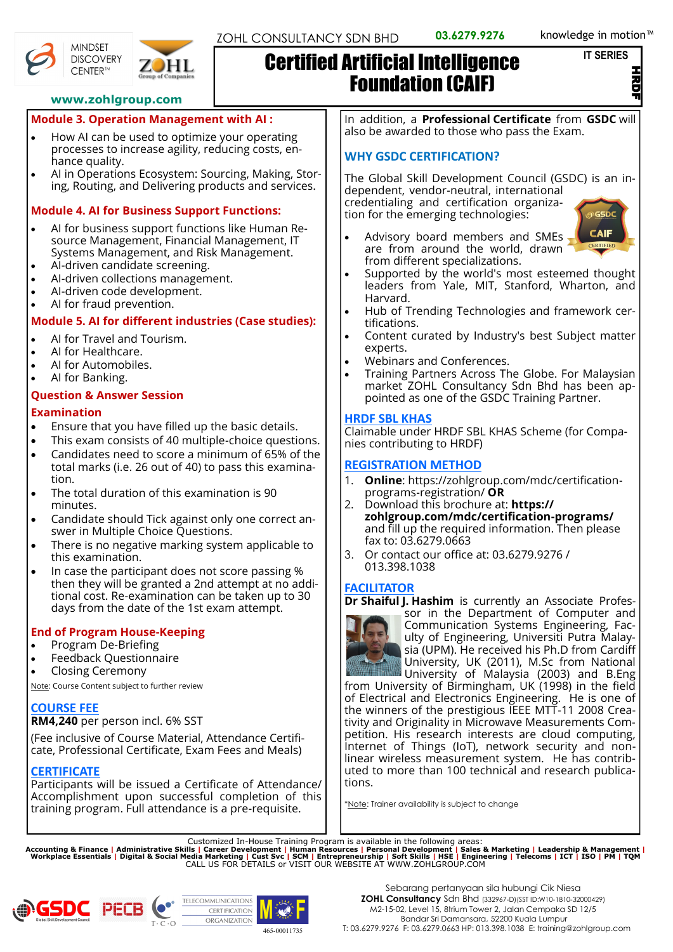#### **IT SERIES**

Z



**MINDSET** 



# Certified Artificial Intelligence Foundation (CAIF)

In addition, a **Professional Certificate** from **GSDC** will also be awarded to those who pass the Exam.

# **WHY GSDC CERTIFICATION?**

The Global Skill Development Council (GSDC) is an independent, vendor-neutral, international

credentialing and certification organization for the emerging technologies:



- Advisory board members and SMEs are from around the world, drawn from different specializations.
- Supported by the world's most esteemed thought leaders from Yale, MIT, Stanford, Wharton, and Harvard.
- Hub of Trending Technologies and framework certifications.
- Content curated by Industry's best Subject matter experts.
- Webinars and Conferences.
- Training Partners Across The Globe. For Malaysian market ZOHL Consultancy Sdn Bhd has been appointed as one of the GSDC Training Partner.

# **HRDF SBL KHAS**

Claimable under HRDF SBL KHAS Scheme (for Companies contributing to HRDF)

# **REGISTRATION METHOD**

- 1. **Online**: https://zohlgroup.com/mdc/certificationprograms-registration/ **OR**
- 2. Download this brochure at: **https:// zohlgroup.com/mdc/certification-programs/** and fill up the required information. Then please fax to: 03.6279.0663
- 3. Or contact our office at: 03.6279.9276 / 013.398.1038

# **FACILITATOR**

**Dr Shaiful J. Hashim** is currently an Associate Profes-



sor in the Department of Computer and Communication Systems Engineering, Faculty of Engineering, Universiti Putra Malaysia (UPM). He received his Ph.D from Cardiff University, UK (2011), M.Sc from National University of Malaysia (2003) and B.Eng

from University of Birmingham, UK (1998) in the field of Electrical and Electronics Engineering. He is one of the winners of the prestigious IEEE MTT-11 2008 Creativity and Originality in Microwave Measurements Competition. His research interests are cloud computing, Internet of Things (IoT), network security and nonlinear wireless measurement system. He has contributed to more than 100 technical and research publications.

\*Note: Trainer availability is subject to change

Customized In-House Training Program is available in the following areas:<br>Accounting & Finance | Administrative Skills | Career Development | Human Resources | Personal Development | Sales & Marketing | Leadership & Manag





# **www.zohlgroup.com**

# **Module 3. Operation Management with AI :**

- How AI can be used to optimize your operating processes to increase agility, reducing costs, enhance quality.
- AI in Operations Ecosystem: Sourcing, Making, Storing, Routing, and Delivering products and services.

### **Module 4. AI for Business Support Functions:**

- AI for business support functions like Human Resource Management, Financial Management, IT Systems Management, and Risk Management.
- AI-driven candidate screening.
- AI-driven collections management.
- AI-driven code development.
- AI for fraud prevention.

# **Module 5. AI for different industries (Case studies):**

- AI for Travel and Tourism.
- AI for Healthcare.
- AI for Automobiles.
- AI for Banking.

# **Question & Answer Session**

#### **Examination**

- Ensure that you have filled up the basic details.
- This exam consists of 40 multiple-choice questions.
- Candidates need to score a minimum of 65% of the total marks (i.e. 26 out of 40) to pass this examination.
- The total duration of this examination is 90 minutes.
- Candidate should Tick against only one correct answer in Multiple Choice Questions.
- There is no negative marking system applicable to this examination.
- In case the participant does not score passing % then they will be granted a 2nd attempt at no additional cost. Re-examination can be taken up to 30 days from the date of the 1st exam attempt.

# **End of Program House-Keeping**

- Program De-Briefing
	- Feedback Questionnaire
- Closing Ceremony

Note: Course Content subject to further review

# **COURSE FEE**

**RM4,240** per person incl. 6% SST

(Fee inclusive of Course Material, Attendance Certificate, Professional Certificate, Exam Fees and Meals)

# **CERTIFICATE**

Participants will be issued a Certificate of Attendance/ Accomplishment upon successful completion of this training program. Full attendance is a pre-requisite.